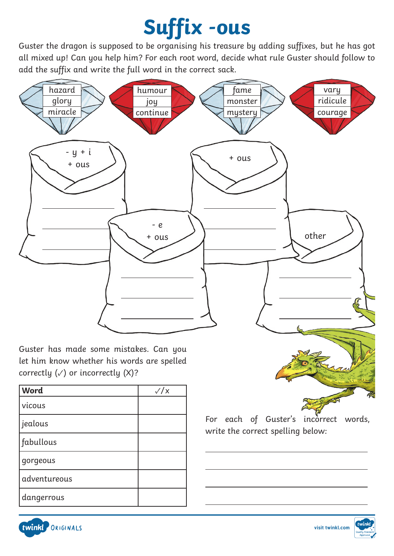## **Suffix -ous**

Guster the dragon is supposed to be organising his treasure by adding suffixes, but he has got all mixed up! Can you help him? For each root word, decide what rule Guster should follow to add the suffix and write the full word in the correct sack.



 $\overline{a}$ 

 $\overline{a}$ 

 $\overline{a}$ 

Guster has made some mistakes. Can you let him know whether his words are spelled correctly  $(\sqrt{})$  or incorrectly  $(X)$ ?

| Word         | $\sqrt{x}$ |
|--------------|------------|
| vicous       |            |
| jealous      |            |
| fabullous    |            |
| gorgeous     |            |
| adventureous |            |
| dangerrous   |            |

For each of Guster's incorrect words, write the correct spelling below: